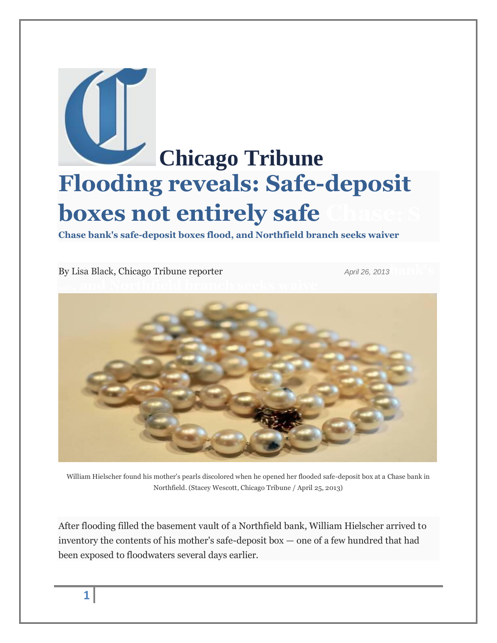

**Chase bank's safe-deposit boxes flood, and Northfield branch seeks waiver**

By [Lisa Black,](http://bio.tribune.com/LisaBlack) Chicago Tribune reporter *April 26, 2013* 



William Hielscher found his mother's pearls discolored when he opened her flooded safe-deposit box at a Chase bank in Northfield. (Stacey Wescott, Chicago Tribune / April 25, 2013)

After flooding filled the basement vault of a Northfield bank, William Hielscher arrived to inventory the contents of his mother's safe-deposit box — one of a few hundred that had been exposed to floodwaters several days earlier.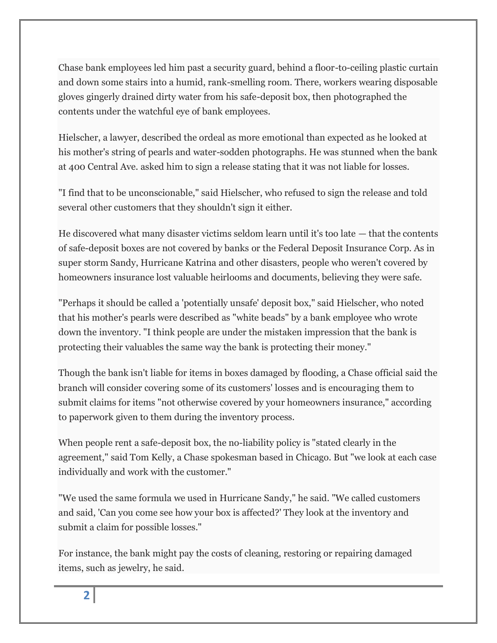Chase bank employees led him past a security guard, behind a floor-to-ceiling plastic curtain and down some stairs into a humid, rank-smelling room. There, workers wearing disposable gloves gingerly drained dirty water from his safe-deposit box, then photographed the contents under the watchful eye of bank employees.

Hielscher, a lawyer, described the ordeal as more emotional than expected as he looked at his mother's string of pearls and water-sodden photographs. He was stunned when the bank at 400 Central Ave. asked him to sign a release stating that it was not liable for losses.

"I find that to be unconscionable," said Hielscher, who refused to sign the release and told several other customers that they shouldn't sign it either.

He discovered what many disaster victims seldom learn until it's too late — that the contents of safe-deposit boxes are not covered by banks or the Federal Deposit Insurance Corp. As in super storm Sandy, Hurricane Katrina and other disasters, people who weren't covered by homeowners insurance lost valuable heirlooms and documents, believing they were safe.

"Perhaps it should be called a 'potentially unsafe' deposit box," said Hielscher, who noted that his mother's pearls were described as "white beads" by a bank employee who wrote down the inventory. "I think people are under the mistaken impression that the bank is protecting their valuables the same way the bank is protecting their money."

Though the bank isn't liable for items in boxes damaged by flooding, a Chase official said the branch will consider covering some of its customers' losses and is encouraging them to submit claims for items "not otherwise covered by your homeowners insurance," according to paperwork given to them during the inventory process.

When people rent a safe-deposit box, the no-liability policy is "stated clearly in the agreement," said Tom Kelly, a Chase spokesman based in Chicago. But "we look at each case individually and work with the customer."

"We used the same formula we used in Hurricane Sandy," he said. "We called customers and said, 'Can you come see how your box is affected?' They look at the inventory and submit a claim for possible losses."

For instance, the bank might pay the costs of cleaning, restoring or repairing damaged items, such as jewelry, he said.